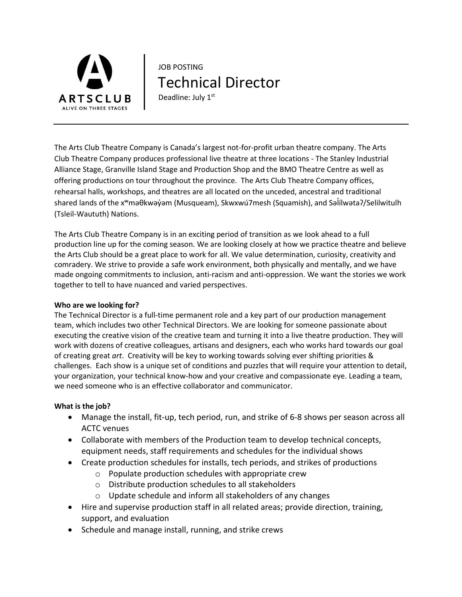

# JOB POSTING Technical Director Deadline: July 1st

The Arts Club Theatre Company is Canada's largest not-for-profit urban theatre company. The Arts Club Theatre Company produces professional live theatre at three locations - The Stanley Industrial Alliance Stage, Granville Island Stage and Production Shop and the BMO Theatre Centre as well as offering productions on tour throughout the province. The Arts Club Theatre Company offices, rehearsal halls, workshops, and theatres are all located on the unceded, ancestral and traditional shared lands of the x<sup>w</sup>məθkwəy̓əm (Musqueam), Skwxwú7mesh (Squamish), and Səlilwətaʔ/Selilwitulh (Tsleil-Waututh) Nations.

The Arts Club Theatre Company is in an exciting period of transition as we look ahead to a full production line up for the coming season. We are looking closely at how we practice theatre and believe the Arts Club should be a great place to work for all. We value determination, curiosity, creativity and comradery. We strive to provide a safe work environment, both physically and mentally, and we have made ongoing commitments to inclusion, anti-racism and anti-oppression. We want the stories we work together to tell to have nuanced and varied perspectives.

### **Who are we looking for?**

The Technical Director is a full-time permanent role and a key part of our production management team, which includes two other Technical Directors. We are looking for someone passionate about executing the creative vision of the creative team and turning it into a live theatre production. They will work with dozens of creative colleagues, artisans and designers, each who works hard towards our goal of creating great *art*. Creativity will be key to working towards solving ever shifting priorities & challenges. Each show is a unique set of conditions and puzzles that will require your attention to detail, your organization, your technical know-how and your creative and compassionate eye. Leading a team, we need someone who is an effective collaborator and communicator.

### **What is the job?**

- Manage the install, fit-up, tech period, run, and strike of 6-8 shows per season across all ACTC venues
- Collaborate with members of the Production team to develop technical concepts, equipment needs, staff requirements and schedules for the individual shows
- Create production schedules for installs, tech periods, and strikes of productions
	- o Populate production schedules with appropriate crew
	- o Distribute production schedules to all stakeholders
	- o Update schedule and inform all stakeholders of any changes
- Hire and supervise production staff in all related areas; provide direction, training, support, and evaluation
- Schedule and manage install, running, and strike crews